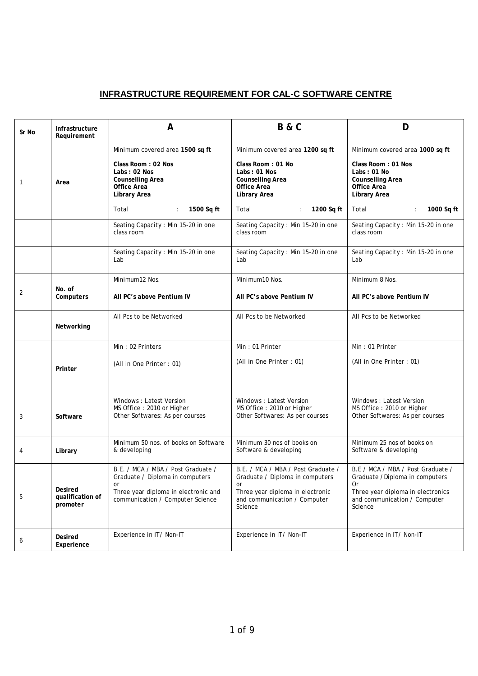## **INFRASTRUCTURE REQUIREMENT FOR CAL-C SOFTWARE CENTRE**

| Sr No        | Infrastructure<br>Requirement                  | A                                                                                                                                                                                                    | <b>B&amp;C</b>                                                                                                                                                                                   | D                                                                                                                                                                                                  |
|--------------|------------------------------------------------|------------------------------------------------------------------------------------------------------------------------------------------------------------------------------------------------------|--------------------------------------------------------------------------------------------------------------------------------------------------------------------------------------------------|----------------------------------------------------------------------------------------------------------------------------------------------------------------------------------------------------|
| $\mathbf{1}$ | Area                                           | Minimum covered area 1500 sq ft<br>Class Room: 02 Nos<br>Labs: 02 Nos<br><b>Counselling Area</b><br><b>Office Area</b><br><b>Library Area</b><br>1500 Sq ft<br>Total<br>$\mathcal{L}_{\mathrm{max}}$ | Minimum covered area 1200 sq ft<br>Class Room: 01 No<br>Labs: 01 Nos<br><b>Counselling Area</b><br><b>Office Area</b><br><b>Library Area</b><br>Total<br>$\langle \hat{z} \rangle$<br>1200 Sq ft | Minimum covered area 1000 sq ft<br><b>Class Room: 01 Nos</b><br>Labs: 01 No<br><b>Counselling Area</b><br><b>Office Area</b><br><b>Library Area</b><br>1000 Sq ft<br>Total<br>$\ddot{\phantom{a}}$ |
|              |                                                | Seating Capacity : Min 15-20 in one<br>class room                                                                                                                                                    | Seating Capacity : Min 15-20 in one<br>class room                                                                                                                                                | Seating Capacity : Min 15-20 in one<br>class room                                                                                                                                                  |
|              |                                                | Seating Capacity : Min 15-20 in one<br>Lab                                                                                                                                                           | Seating Capacity : Min 15-20 in one<br>Lab                                                                                                                                                       | Seating Capacity : Min 15-20 in one<br>Lab                                                                                                                                                         |
| 2            | No. of<br><b>Computers</b>                     | Minimum12 Nos.<br>All PC's above Pentium IV                                                                                                                                                          | Minimum10 Nos.<br>All PC's above Pentium IV                                                                                                                                                      | Minimum 8 Nos.<br>All PC's above Pentium IV                                                                                                                                                        |
|              | Networking                                     | All Pcs to be Networked                                                                                                                                                                              | All Pcs to be Networked                                                                                                                                                                          | All Pcs to be Networked                                                                                                                                                                            |
|              | Printer                                        | Min: 02 Printers<br>(All in One Printer: 01)                                                                                                                                                         | Min: 01 Printer<br>(All in One Printer: 01)                                                                                                                                                      | Min: 01 Printer<br>(All in One Printer: 01)                                                                                                                                                        |
| 3            | <b>Software</b>                                | Windows: Latest Version<br>MS Office: 2010 or Higher<br>Other Softwares: As per courses                                                                                                              | Windows: Latest Version<br>MS Office: 2010 or Higher<br>Other Softwares: As per courses                                                                                                          | Windows: Latest Version<br>MS Office: 2010 or Higher<br>Other Softwares: As per courses                                                                                                            |
| 4            | Library                                        | Minimum 50 nos. of books on Software<br>& developing                                                                                                                                                 | Minimum 30 nos of books on<br>Software & developing                                                                                                                                              | Minimum 25 nos of books on<br>Software & developing                                                                                                                                                |
| 5            | <b>Desired</b><br>qualification of<br>promoter | B.E. / MCA / MBA / Post Graduate /<br>Graduate / Diploma in computers<br>or<br>Three year diploma in electronic and<br>communication / Computer Science                                              | B.E. / MCA / MBA / Post Graduate /<br>Graduate / Diploma in computers<br>or<br>Three year diploma in electronic<br>and communication / Computer<br>Science                                       | B.E / MCA / MBA / Post Graduate /<br>Graduate / Diploma in computers<br>0r<br>Three year diploma in electronics<br>and communication / Computer<br>Science                                         |
| 6            | <b>Desired</b><br>Experience                   | Experience in IT/ Non-IT                                                                                                                                                                             | Experience in IT/ Non-IT                                                                                                                                                                         | Experience in IT/ Non-IT                                                                                                                                                                           |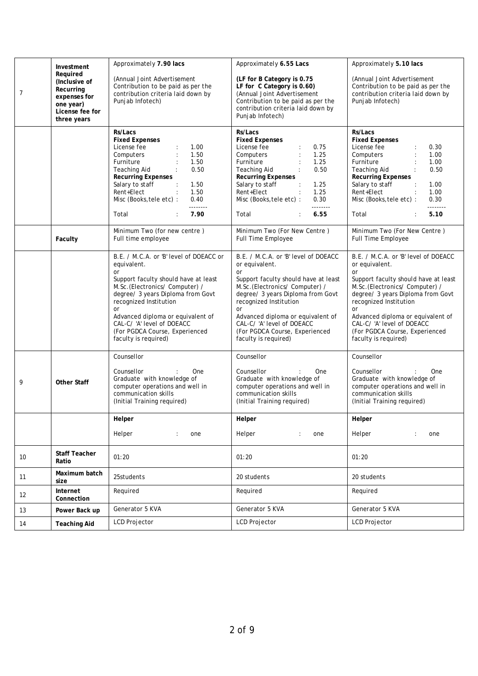| 7  | Investment<br>Required<br>(Inclusive of<br>Recurring<br>expenses for<br>one year)<br>License fee for<br>three years | Approximately 7.90 lacs<br>(Annual Joint Advertisement<br>Contribution to be paid as per the<br>contribution criteria laid down by<br>Punjab Infotech)                                                                                                                                                                                                                                                   | Approximately 6.55 Lacs<br>(LF for B Category is 0.75<br>LF for C Category is 0.60)<br>(Annual Joint Advertisement<br>Contribution to be paid as per the<br>contribution criteria laid down by<br>Punjab Infotech)                                                                                                                                       | Approximately 5.10 lacs<br>(Annual Joint Advertisement<br>Contribution to be paid as per the<br>contribution criteria laid down by<br>Punjab Infotech)                                                                                                                                                                                                |
|----|---------------------------------------------------------------------------------------------------------------------|----------------------------------------------------------------------------------------------------------------------------------------------------------------------------------------------------------------------------------------------------------------------------------------------------------------------------------------------------------------------------------------------------------|----------------------------------------------------------------------------------------------------------------------------------------------------------------------------------------------------------------------------------------------------------------------------------------------------------------------------------------------------------|-------------------------------------------------------------------------------------------------------------------------------------------------------------------------------------------------------------------------------------------------------------------------------------------------------------------------------------------------------|
|    |                                                                                                                     | <b>Rs/Lacs</b><br><b>Fixed Expenses</b><br>License fee<br>1.00<br>$\ddot{\phantom{a}}$<br>Computers<br>$\ddot{\cdot}$<br>1.50<br>Furniture<br>1.50<br>$\ddot{\phantom{a}}$<br>Teaching Aid<br>$\ddot{\cdot}$<br>0.50<br><b>Recurring Expenses</b><br>Salary to staff<br>$\sim$ 1.<br>1.50<br>Rent+Elect<br>1.50<br>$\ddot{\phantom{a}}$<br>Misc (Books, tele etc) :<br>0.40<br>--------<br>7.90<br>Total | Rs/Lacs<br><b>Fixed Expenses</b><br>License fee<br>0.75<br>$\ddot{\phantom{a}}$<br>Computers<br>1.25<br>$\ddot{\phantom{a}}$<br>1.25<br>Furniture<br>0.50<br>Teaching Aid<br><b>Recurring Expenses</b><br>Salary to staff<br>1.25<br>Rent+Elect<br>1.25<br>Misc (Books, tele etc) :<br>0.30<br><u>________</u><br>Total<br>6.55                          | Rs/Lacs<br><b>Fixed Expenses</b><br>License fee<br>0.30<br>Computers<br>$\ddot{\phantom{a}}$<br>1.00<br>Furniture<br>1.00<br>$\mathbf{r}$<br>Teaching Aid<br>0.50<br><b>Recurring Expenses</b><br>Salary to staff<br>1.00<br>$\cdot$ :<br>Rent+Elect<br>1.00<br>$\ddot{\phantom{a}}$<br>Misc (Books, tele etc) :<br>0.30<br>--------<br>Total<br>5.10 |
|    | <b>Faculty</b>                                                                                                      | Minimum Two (for new centre)<br>Full time employee                                                                                                                                                                                                                                                                                                                                                       | Minimum Two (For New Centre)<br><b>Full Time Employee</b>                                                                                                                                                                                                                                                                                                | Minimum Two (For New Centre)<br><b>Full Time Employee</b>                                                                                                                                                                                                                                                                                             |
|    |                                                                                                                     | B.E. / M.C.A. or 'B' level of DOEACC or<br>equivalent.<br><b>or</b><br>Support faculty should have at least<br>M.Sc.(Electronics/Computer) /<br>degree/ 3 years Diploma from Govt<br>recognized Institution<br><b>or</b><br>Advanced diploma or equivalent of<br>CAL-C/'A' level of DOEACC<br>(For PGDCA Course, Experienced<br>faculty is required)                                                     | B.E. / M.C.A. or 'B' level of DOEACC<br>or equivalent.<br><sub>or</sub><br>Support faculty should have at least<br>M.Sc.(Electronics/Computer) /<br>degree/ 3 years Diploma from Govt<br>recognized Institution<br><b>or</b><br>Advanced diploma or equivalent of<br>CAL-C/'A' level of DOEACC<br>(For PGDCA Course, Experienced<br>faculty is required) | B.E. / M.C.A. or 'B' level of DOEACC<br>or equivalent.<br><b>or</b><br>Support faculty should have at least<br>M.Sc.(Electronics/Computer) /<br>degree/ 3 years Diploma from Govt<br>recognized Institution<br><b>or</b><br>Advanced diploma or equivalent of<br>CAL-C/'A' level of DOEACC<br>(For PGDCA Course, Experienced<br>faculty is required)  |
| 9  | <b>Other Staff</b>                                                                                                  | Counsellor<br>Counsellor<br>One<br>Graduate with knowledge of<br>computer operations and well in<br>communication skills<br>(Initial Training required)                                                                                                                                                                                                                                                  | Counsellor<br>Counsellor<br>One<br>Graduate with knowledge of<br>computer operations and well in<br>communication skills<br>(Initial Training required)                                                                                                                                                                                                  | Counsellor<br>Counsellor<br>One<br>Graduate with knowledge of<br>computer operations and well in<br>communication skills<br>(Initial Training required)                                                                                                                                                                                               |
|    |                                                                                                                     | Helper<br>Helper<br>one<br>$\ddot{\phantom{a}}$                                                                                                                                                                                                                                                                                                                                                          | Helper<br>Helper<br>$\ddot{\phantom{a}}$<br>one                                                                                                                                                                                                                                                                                                          | Helper<br>Helper<br>one<br>÷                                                                                                                                                                                                                                                                                                                          |
| 10 | <b>Staff Teacher</b><br>Ratio                                                                                       | 01:20                                                                                                                                                                                                                                                                                                                                                                                                    | 01:20                                                                                                                                                                                                                                                                                                                                                    | 01:20                                                                                                                                                                                                                                                                                                                                                 |
| 11 | Maximum batch<br>size                                                                                               | 25students                                                                                                                                                                                                                                                                                                                                                                                               | 20 students                                                                                                                                                                                                                                                                                                                                              | 20 students                                                                                                                                                                                                                                                                                                                                           |
| 12 | Internet<br>Connection                                                                                              | Required                                                                                                                                                                                                                                                                                                                                                                                                 | Required                                                                                                                                                                                                                                                                                                                                                 | Required                                                                                                                                                                                                                                                                                                                                              |
| 13 | Power Back up                                                                                                       | Generator 5 KVA                                                                                                                                                                                                                                                                                                                                                                                          | Generator 5 KVA                                                                                                                                                                                                                                                                                                                                          | Generator 5 KVA                                                                                                                                                                                                                                                                                                                                       |
| 14 | <b>Teaching Aid</b>                                                                                                 | <b>LCD Projector</b>                                                                                                                                                                                                                                                                                                                                                                                     | <b>LCD Projector</b>                                                                                                                                                                                                                                                                                                                                     | <b>LCD Projector</b>                                                                                                                                                                                                                                                                                                                                  |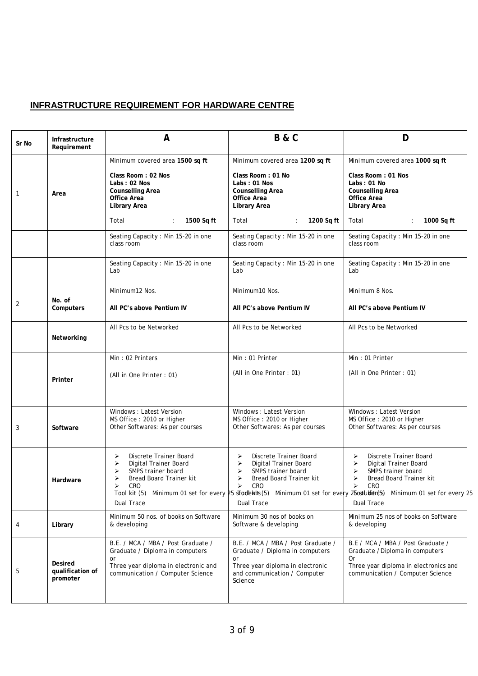## **INFRASTRUCTURE REQUIREMENT FOR HARDWARE CENTRE**

| Sr No | Infrastructure<br>Requirement                  | A                                                                                                                                                       | <b>B&amp;C</b>                                                                                                                                             | D                                                                                                                                                                                                                                                                                                                 |
|-------|------------------------------------------------|---------------------------------------------------------------------------------------------------------------------------------------------------------|------------------------------------------------------------------------------------------------------------------------------------------------------------|-------------------------------------------------------------------------------------------------------------------------------------------------------------------------------------------------------------------------------------------------------------------------------------------------------------------|
| 1     | Area                                           | Minimum covered area 1500 sq ft<br>Class Room: 02 Nos<br>Labs: 02 Nos<br><b>Counselling Area</b><br><b>Office Area</b><br><b>Library Area</b>           | Minimum covered area 1200 sq ft<br>Class Room: 01 No<br>Labs: 01 Nos<br><b>Counselling Area</b><br><b>Office Area</b><br><b>Library Area</b>               | Minimum covered area 1000 sq ft<br>Class Room: 01 Nos<br>Labs: 01 No<br><b>Counselling Area</b><br><b>Office Area</b><br><b>Library Area</b>                                                                                                                                                                      |
|       |                                                | 1500 Sq ft<br>Total                                                                                                                                     | Total<br>1200 Sq ft                                                                                                                                        | Total<br>1000 Sq ft                                                                                                                                                                                                                                                                                               |
|       |                                                | Seating Capacity : Min 15-20 in one<br>class room                                                                                                       | Seating Capacity : Min 15-20 in one<br>class room                                                                                                          | Seating Capacity : Min 15-20 in one<br>class room                                                                                                                                                                                                                                                                 |
|       |                                                | Seating Capacity : Min 15-20 in one<br>Lab                                                                                                              | Seating Capacity : Min 15-20 in one<br>Lab                                                                                                                 | Seating Capacity : Min 15-20 in one<br>Lab                                                                                                                                                                                                                                                                        |
|       |                                                | Minimum12 Nos.                                                                                                                                          | Minimum10 Nos.                                                                                                                                             | Minimum 8 Nos.                                                                                                                                                                                                                                                                                                    |
| 2     | No. of<br><b>Computers</b>                     | All PC's above Pentium IV                                                                                                                               | All PC's above Pentium IV                                                                                                                                  | All PC's above Pentium IV                                                                                                                                                                                                                                                                                         |
|       | Networking                                     | All Pcs to be Networked                                                                                                                                 | All Pcs to be Networked                                                                                                                                    | All Pcs to be Networked                                                                                                                                                                                                                                                                                           |
|       |                                                | Min: 02 Printers                                                                                                                                        | Min: 01 Printer                                                                                                                                            | Min: 01 Printer                                                                                                                                                                                                                                                                                                   |
|       | Printer                                        | (All in One Printer: 01)                                                                                                                                | (All in One Printer: 01)                                                                                                                                   | (All in One Printer: 01)                                                                                                                                                                                                                                                                                          |
| 3     | Software                                       | Windows: Latest Version<br>MS Office: 2010 or Higher<br>Other Softwares: As per courses                                                                 | Windows: Latest Version<br>MS Office: 2010 or Higher<br>Other Softwares: As per courses                                                                    | Windows: Latest Version<br>MS Office: 2010 or Higher<br>Other Softwares: As per courses                                                                                                                                                                                                                           |
|       | Hardware                                       | Discrete Trainer Board<br>⋗<br>➤<br>Digital Trainer Board<br>⋗<br>SMPS trainer board<br>➤<br>Bread Board Trainer kit<br>⋗<br>CRO<br>Dual Trace          | Discrete Trainer Board<br>➤<br>⋗<br>Digital Trainer Board<br>SMPS trainer board<br>⋗<br>➤<br>Bread Board Trainer kit<br>⋗<br>CRO<br>Dual Trace             | Discrete Trainer Board<br>➤<br>$\blacktriangleright$<br>Digital Trainer Board<br>SMPS trainer board<br>$\blacktriangleright$<br>➤<br>Bread Board Trainer kit<br>⋗<br>CRO<br>Tool kit (5) Minimum 01 set for every 25 stadents (5) Minimum 01 set for every 25 oxthest a Minimum 01 set for every 25<br>Dual Trace |
| 4     | Library                                        | Minimum 50 nos. of books on Software<br>& developing                                                                                                    | Minimum 30 nos of books on<br>Software & developing                                                                                                        | Minimum 25 nos of books on Software<br>& developing                                                                                                                                                                                                                                                               |
| 5     | <b>Desired</b><br>qualification of<br>promoter | B.E. / MCA / MBA / Post Graduate /<br>Graduate / Diploma in computers<br>or<br>Three year diploma in electronic and<br>communication / Computer Science | B.E. / MCA / MBA / Post Graduate /<br>Graduate / Diploma in computers<br>or<br>Three year diploma in electronic<br>and communication / Computer<br>Science | B.E / MCA / MBA / Post Graduate /<br>Graduate / Diploma in computers<br>0r<br>Three year diploma in electronics and<br>communication / Computer Science                                                                                                                                                           |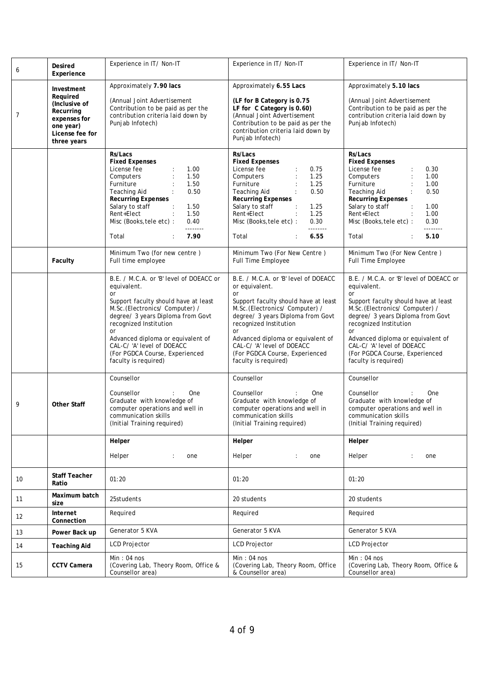| 6  | <b>Desired</b><br><b>Experience</b>                                                                                 | Experience in IT/ Non-IT                                                                                                                                                                                                                                                                                                               | Experience in IT/ Non-IT                                                                                                                                                                                                                                                                                                               | Experience in IT/ Non-IT                                                                                                                                                                                                                                                                                                                      |
|----|---------------------------------------------------------------------------------------------------------------------|----------------------------------------------------------------------------------------------------------------------------------------------------------------------------------------------------------------------------------------------------------------------------------------------------------------------------------------|----------------------------------------------------------------------------------------------------------------------------------------------------------------------------------------------------------------------------------------------------------------------------------------------------------------------------------------|-----------------------------------------------------------------------------------------------------------------------------------------------------------------------------------------------------------------------------------------------------------------------------------------------------------------------------------------------|
| 7  | Investment<br>Required<br>(Inclusive of<br>Recurring<br>expenses for<br>one year)<br>License fee for<br>three years | Approximately 7.90 lacs<br>(Annual Joint Advertisement<br>Contribution to be paid as per the<br>contribution criteria laid down by<br>Punjab Infotech)                                                                                                                                                                                 | Approximately 6.55 Lacs<br>(LF for B Category is 0.75<br>LF for C Category is 0.60)<br>(Annual Joint Advertisement<br>Contribution to be paid as per the<br>contribution criteria laid down by<br>Punjab Infotech)                                                                                                                     | Approximately 5.10 lacs<br>(Annual Joint Advertisement<br>Contribution to be paid as per the<br>contribution criteria laid down by<br>Punjab Infotech)                                                                                                                                                                                        |
|    |                                                                                                                     | <b>Rs/Lacs</b><br><b>Fixed Expenses</b><br>License fee<br>1.00<br>1.50<br>Computers<br>Furniture<br>1.50<br>0.50<br>Teaching Aid<br><b>Recurring Expenses</b><br>Salary to staff<br>1.50<br>Rent+Elect<br>1.50<br>$\ddot{\phantom{a}}$<br>Misc (Books, tele etc) :<br>0.40<br>--------<br>7.90<br>Total                                | Rs/Lacs<br><b>Fixed Expenses</b><br>License fee<br>0.75<br>1.25<br>Computers<br>Furniture<br>1.25<br>0.50<br>Teaching Aid<br><b>Recurring Expenses</b><br>Salary to staff<br>1.25<br>Rent+Elect<br>1.25<br>0.30<br>Misc (Books, tele etc) :<br><u> 22222222</u><br>6.55<br>Total                                                       | Rs/Lacs<br><b>Fixed Expenses</b><br>License fee<br>0.30<br>1.00<br>Computers<br>Furniture<br>1.00<br>Teaching Aid<br>0.50<br><b>Recurring Expenses</b><br>Salary to staff<br>1.00<br>$\ddot{\phantom{a}}$<br>Rent+Elect<br>1.00<br>Misc (Books, tele etc) :<br>0.30<br><b>________</b><br>5.10<br>Total                                       |
|    | <b>Faculty</b>                                                                                                      | Minimum Two (for new centre)<br>Full time employee                                                                                                                                                                                                                                                                                     | Minimum Two (For New Centre)<br><b>Full Time Employee</b>                                                                                                                                                                                                                                                                              | Minimum Two (For New Centre)<br><b>Full Time Employee</b>                                                                                                                                                                                                                                                                                     |
|    |                                                                                                                     | B.E. / M.C.A. or 'B' level of DOEACC or<br>equivalent.<br>or<br>Support faculty should have at least<br>M.Sc.(Electronics/Computer) /<br>degree/ 3 years Diploma from Govt<br>recognized Institution<br>or<br>Advanced diploma or equivalent of<br>CAL-C/'A' level of DOEACC<br>(For PGDCA Course, Experienced<br>faculty is required) | B.E. / M.C.A. or 'B' level of DOEACC<br>or equivalent.<br>or<br>Support faculty should have at least<br>M.Sc.(Electronics/Computer) /<br>degree/ 3 years Diploma from Govt<br>recognized Institution<br>or<br>Advanced diploma or equivalent of<br>CAL-C/'A' level of DOEACC<br>(For PGDCA Course, Experienced<br>faculty is required) | B.E. / M.C.A. or 'B' level of DOEACC or<br>equivalent.<br><b>or</b><br>Support faculty should have at least<br>M.Sc.(Electronics/Computer) /<br>degree/ 3 years Diploma from Govt<br>recognized Institution<br>or<br>Advanced diploma or equivalent of<br>CAL-C/'A' level of DOEACC<br>(For PGDCA Course, Experienced<br>faculty is required) |
| 9  | <b>Other Staff</b>                                                                                                  | Counsellor<br>Counsellor<br>One<br>Graduate with knowledge of<br>computer operations and well in<br>communication skills<br>(Initial Training required)                                                                                                                                                                                | Counsellor<br>Counsellor<br>One<br>Graduate with knowledge of<br>computer operations and well in<br>communication skills<br>(Initial Training required)                                                                                                                                                                                | Counsellor<br>Counsellor<br>One<br>Graduate with knowledge of<br>computer operations and well in<br>communication skills<br>(Initial Training required)                                                                                                                                                                                       |
|    |                                                                                                                     | Helper                                                                                                                                                                                                                                                                                                                                 | Helper                                                                                                                                                                                                                                                                                                                                 | Helper                                                                                                                                                                                                                                                                                                                                        |
|    |                                                                                                                     | Helper<br>one<br>$\ddot{\phantom{a}}$                                                                                                                                                                                                                                                                                                  | Helper<br>one<br>÷                                                                                                                                                                                                                                                                                                                     | Helper<br>one                                                                                                                                                                                                                                                                                                                                 |
| 10 | <b>Staff Teacher</b><br>Ratio                                                                                       | 01:20                                                                                                                                                                                                                                                                                                                                  | 01:20                                                                                                                                                                                                                                                                                                                                  | 01:20                                                                                                                                                                                                                                                                                                                                         |
| 11 | Maximum batch<br>size                                                                                               | 25students                                                                                                                                                                                                                                                                                                                             | 20 students                                                                                                                                                                                                                                                                                                                            | 20 students                                                                                                                                                                                                                                                                                                                                   |
| 12 | Internet<br>Connection                                                                                              | Required                                                                                                                                                                                                                                                                                                                               | Required                                                                                                                                                                                                                                                                                                                               | Required                                                                                                                                                                                                                                                                                                                                      |
| 13 | Power Back up                                                                                                       | Generator 5 KVA                                                                                                                                                                                                                                                                                                                        | Generator 5 KVA                                                                                                                                                                                                                                                                                                                        | Generator 5 KVA                                                                                                                                                                                                                                                                                                                               |
| 14 | <b>Teaching Aid</b>                                                                                                 | <b>LCD Projector</b>                                                                                                                                                                                                                                                                                                                   | <b>LCD Projector</b>                                                                                                                                                                                                                                                                                                                   | LCD Projector                                                                                                                                                                                                                                                                                                                                 |
| 15 | <b>CCTV Camera</b>                                                                                                  | Min: 04 nos<br>(Covering Lab, Theory Room, Office &<br>Counsellor area)                                                                                                                                                                                                                                                                | Min: 04 nos<br>(Covering Lab, Theory Room, Office<br>& Counsellor area)                                                                                                                                                                                                                                                                | Min: 04 nos<br>(Covering Lab, Theory Room, Office &<br>Counsellor area)                                                                                                                                                                                                                                                                       |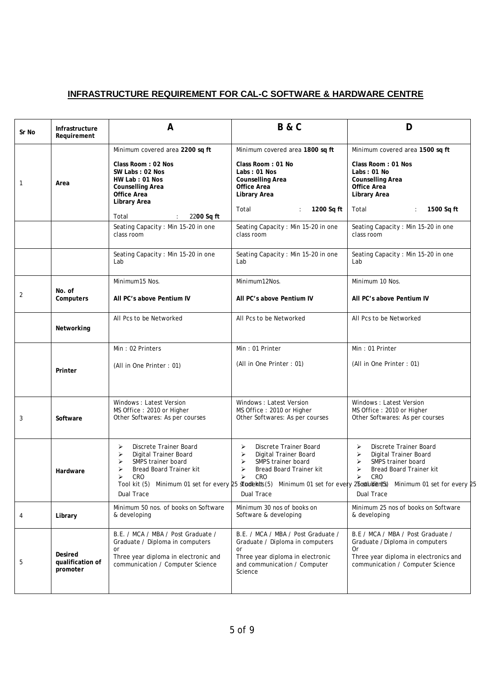## **INFRASTRUCTURE REQUIREMENT FOR CAL-C SOFTWARE & HARDWARE CENTRE**

| Sr No        | Infrastructure<br>Requirement                  | A                                                                                                                                                                  | <b>B&amp;C</b>                                                                                                                                             | D                                                                                                                                                                                                                                                                   |
|--------------|------------------------------------------------|--------------------------------------------------------------------------------------------------------------------------------------------------------------------|------------------------------------------------------------------------------------------------------------------------------------------------------------|---------------------------------------------------------------------------------------------------------------------------------------------------------------------------------------------------------------------------------------------------------------------|
| $\mathbf{1}$ | Area                                           | Minimum covered area 2200 sq ft<br>Class Room: 02 Nos<br>SW Labs: 02 Nos<br>HW Lab: 01 Nos<br><b>Counselling Area</b><br><b>Office Area</b><br><b>Library Area</b> | Minimum covered area 1800 sq ft<br>Class Room: 01 No<br>Labs: 01 Nos<br><b>Counselling Area</b><br><b>Office Area</b><br><b>Library Area</b>               | Minimum covered area 1500 sq ft<br>Class Room: 01 Nos<br>Labs: 01 No<br><b>Counselling Area</b><br><b>Office Area</b><br><b>Library Area</b>                                                                                                                        |
|              |                                                | Total<br>2200 Sq ft                                                                                                                                                | Total<br>1200 Sq ft                                                                                                                                        | Total<br>1500 Sq ft                                                                                                                                                                                                                                                 |
|              |                                                | Seating Capacity : Min 15-20 in one<br>class room                                                                                                                  | Seating Capacity : Min 15-20 in one<br>class room                                                                                                          | Seating Capacity : Min 15-20 in one<br>class room                                                                                                                                                                                                                   |
|              |                                                | Seating Capacity : Min 15-20 in one<br>Lab                                                                                                                         | Seating Capacity : Min 15-20 in one<br>Lab                                                                                                                 | Seating Capacity : Min 15-20 in one<br>Lab                                                                                                                                                                                                                          |
|              |                                                | Minimum15 Nos.                                                                                                                                                     | Minimum12Nos.                                                                                                                                              | Minimum 10 Nos.                                                                                                                                                                                                                                                     |
| 2            | No. of<br><b>Computers</b>                     | All PC's above Pentium IV                                                                                                                                          | All PC's above Pentium IV                                                                                                                                  | All PC's above Pentium IV                                                                                                                                                                                                                                           |
|              | Networking                                     | All Pcs to be Networked                                                                                                                                            | All Pcs to be Networked                                                                                                                                    | All Pcs to be Networked                                                                                                                                                                                                                                             |
|              |                                                | Min: 02 Printers                                                                                                                                                   | Min: 01 Printer                                                                                                                                            | Min: 01 Printer                                                                                                                                                                                                                                                     |
|              | Printer                                        | (All in One Printer: 01)                                                                                                                                           | (All in One Printer: 01)                                                                                                                                   | (All in One Printer: 01)                                                                                                                                                                                                                                            |
| 3            | Software                                       | Windows: Latest Version<br>MS Office: 2010 or Higher<br>Other Softwares: As per courses                                                                            | Windows: Latest Version<br>MS Office: 2010 or Higher<br>Other Softwares: As per courses                                                                    | Windows: Latest Version<br>MS Office: 2010 or Higher<br>Other Softwares: As per courses                                                                                                                                                                             |
|              | Hardware                                       | Discrete Trainer Board<br>⋗<br>Digital Trainer Board<br>➤<br>SMPS trainer board<br>Bread Board Trainer kit<br>CRO<br>⋗<br><b>Dual Trace</b>                        | Discrete Trainer Board<br>≻<br>Digital Trainer Board<br>➤<br>SMPS trainer board<br>➤<br>Bread Board Trainer kit<br>≻<br>CRO<br>Dual Trace                  | Discrete Trainer Board<br>⋗<br>Digital Trainer Board<br>➤<br>SMPS trainer board<br>Bread Board Trainer kit<br>CRO<br>≻<br>Tool kit (5) Minimum 01 set for every 25 stadents (5) Minimum 01 set for every 25 oxtludien(5s) Minimum 01 set for every 25<br>Dual Trace |
| 4            | Library                                        | Minimum 50 nos. of books on Software<br>& developing                                                                                                               | Minimum 30 nos of books on<br>Software & developing                                                                                                        | Minimum 25 nos of books on Software<br>& developing                                                                                                                                                                                                                 |
| 5            | <b>Desired</b><br>qualification of<br>promoter | B.E. / MCA / MBA / Post Graduate /<br>Graduate / Diploma in computers<br>or<br>Three year diploma in electronic and<br>communication / Computer Science            | B.E. / MCA / MBA / Post Graduate /<br>Graduate / Diploma in computers<br>or<br>Three year diploma in electronic<br>and communication / Computer<br>Science | B.E / MCA / MBA / Post Graduate /<br>Graduate / Diploma in computers<br>0r<br>Three year diploma in electronics and<br>communication / Computer Science                                                                                                             |